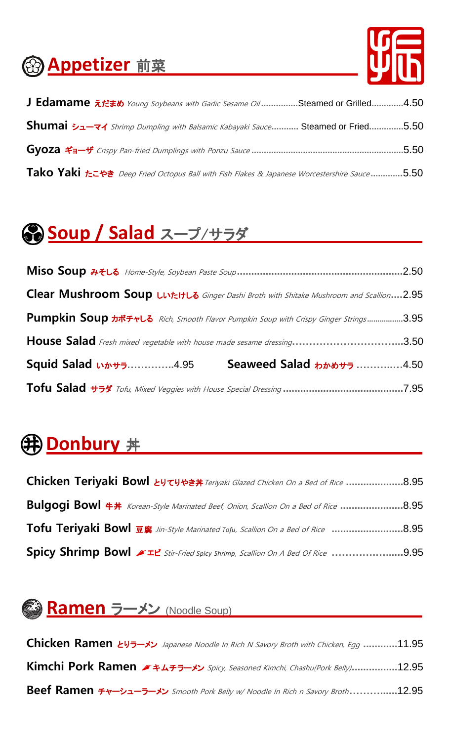### **Appetizer** 前菜



| J Edamame $\bar{x}$ <i>t is b Young Soybeans with Garlic Sesame Oil</i> Steamed or Grilled4.50      |  |
|-----------------------------------------------------------------------------------------------------|--|
| Shumai シューマイ Shrimp Dumpling with Balsamic Kabayaki Sauce Steamed or Fried5.50                      |  |
|                                                                                                     |  |
| Tako Yaki <i>t</i> =++ Deep Fried Octopus Ball with Fish Flakes & Japanese Worcestershire Sauce5.50 |  |

# **Soup / Salad** スープ/サラダ

| .2.50                                                                                                    |  |  |  |
|----------------------------------------------------------------------------------------------------------|--|--|--|
| Clear Mushroom Soup Luttute Ginger Dashi Broth with Shitake Mushroom and Scallion2.95                    |  |  |  |
| Pumpkin Soup $\frac{1}{2}$ $\frac{1}{2}$ Rich, Smooth Flavor Pumpkin Soup with Crispy Ginger Strings3.95 |  |  |  |
| House Salad Fresh mixed vegetable with house made sesame dressing3.50                                    |  |  |  |
| Seaweed Salad ゎゕゕ <del>ゖ</del> ぅ 4.50<br>Squid Salad いかサラ4.95                                            |  |  |  |
|                                                                                                          |  |  |  |

### **①Donbury** 丼

| Chicken Teriyaki Bowl とりてりやき丼 Teriyaki Glazed Chicken On a Bed of Rice 8.95                        |  |
|----------------------------------------------------------------------------------------------------|--|
| Bulgogi Bowl $\#$ # Korean-Style Marinated Beef, Onion, Scallion On a Bed of Rice 8.95             |  |
| Tofu Teriyaki Bowl 豆腐 Jin-Style Marinated Tofu, Scallion On a Bed of Rice 8.95                     |  |
| Spicy Shrimp Bowl $\blacktriangleright$ It Stir-Fried Spicy Shrimp, Scallion On A Bed Of Rice 9.95 |  |

### **《③ Ramen ラーメン (Noodle Soup)**

**Chicken Ramen** とりラーメン Japanese Noodle In Rich N Savory Broth with Chicken, Egg **............**11.95 **Kimchi Pork Ramen** [キムチラ](http://jpdic.naver.com/entry/jk/JK000000020633.nhn)ーメン Spicy, Seasoned Kimchi, Chashu(Pork Belly)**................**12.95 **Beef Ramen** チャーシューラーメン Smooth Pork Belly w/ Noodle In Rich n Savory Broth **………......**12.95